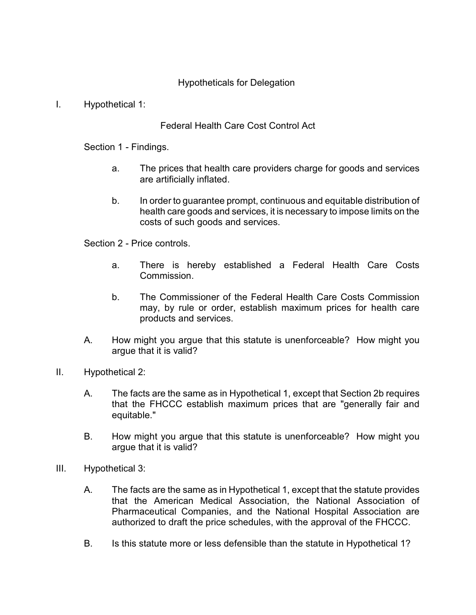## Hypotheticals for Delegation

## I. Hypothetical 1:

## Federal Health Care Cost Control Act

Section 1 - Findings.

- a. The prices that health care providers charge for goods and services are artificially inflated.
- b. In order to guarantee prompt, continuous and equitable distribution of health care goods and services, it is necessary to impose limits on the costs of such goods and services.

Section 2 - Price controls.

- a. There is hereby established a Federal Health Care Costs Commission.
- b. The Commissioner of the Federal Health Care Costs Commission may, by rule or order, establish maximum prices for health care products and services.
- A. How might you argue that this statute is unenforceable? How might you argue that it is valid?
- II. Hypothetical 2:
	- A. The facts are the same as in Hypothetical 1, except that Section 2b requires that the FHCCC establish maximum prices that are "generally fair and equitable."
	- B. How might you argue that this statute is unenforceable? How might you argue that it is valid?
- III. Hypothetical 3:
	- A. The facts are the same as in Hypothetical 1, except that the statute provides that the American Medical Association, the National Association of Pharmaceutical Companies, and the National Hospital Association are authorized to draft the price schedules, with the approval of the FHCCC.
	- B. Is this statute more or less defensible than the statute in Hypothetical 1?